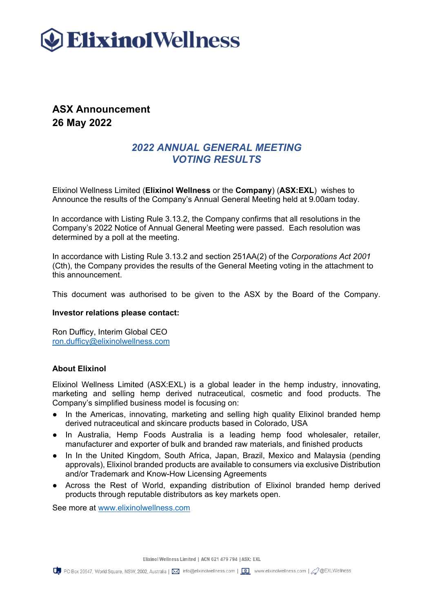

## **ASX Announcement 26 May 2022**

### *2022 ANNUAL GENERAL MEETING VOTING RESULTS*

Elixinol Wellness Limited (**Elixinol Wellness** or the **Company**) (**ASX:EXL**) wishes to Announce the results of the Company's Annual General Meeting held at 9.00am today.

In accordance with Listing Rule 3.13.2, the Company confirms that all resolutions in the Company's 2022 Notice of Annual General Meeting were passed. Each resolution was determined by a poll at the meeting.

In accordance with Listing Rule 3.13.2 and section 251AA(2) of the *Corporations Act 2001* (Cth), the Company provides the results of the General Meeting voting in the attachment to this announcement.

This document was authorised to be given to the ASX by the Board of the Company.

#### **Investor relations please contact:**

Ron Dufficy, Interim Global CEO [ron.dufficy@elixinolwellness.com](mailto:ron.dufficy@elixinolwellness.com)

#### **About Elixinol**

Elixinol Wellness Limited (ASX:EXL) is a global leader in the hemp industry, innovating, marketing and selling hemp derived nutraceutical, cosmetic and food products. The Company's simplified business model is focusing on:

- In the Americas, innovating, marketing and selling high quality Elixinol branded hemp derived nutraceutical and skincare products based in Colorado, USA
- In Australia, Hemp Foods Australia is a leading hemp food wholesaler, retailer, manufacturer and exporter of bulk and branded raw materials, and finished products
- In In the United Kingdom, South Africa, Japan, Brazil, Mexico and Malaysia (pending approvals), Elixinol branded products are available to consumers via exclusive Distribution and/or Trademark and Know-How Licensing Agreements
- Across the Rest of World, expanding distribution of Elixinol branded hemp derived products through reputable distributors as key markets open.

See more at [www.elixinolwellness.com](http://www.elixinolwellness.com/)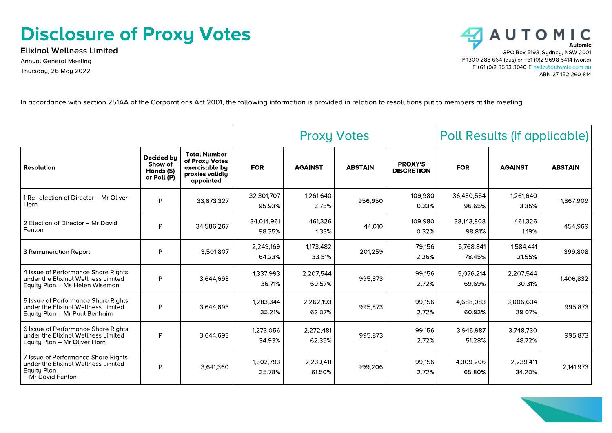# **Disclosure of Proxy Votes**

**Elixinol Wellness Limited Annual General Meeting** Thursday, 26 May 2022



In accordance with section 251AA of the Corporations Act 2001, the following information is provided in relation to resolutions put to members at the meeting.

|                                                                                                                       |                                                   |                                                                                         | <b>Proxy Votes</b>   |                     |                | Poll Results (if applicable)        |                      |                     |                |
|-----------------------------------------------------------------------------------------------------------------------|---------------------------------------------------|-----------------------------------------------------------------------------------------|----------------------|---------------------|----------------|-------------------------------------|----------------------|---------------------|----------------|
| <b>Resolution</b>                                                                                                     | Decided by<br>Show of<br>Hands (S)<br>or Poll (P) | <b>Total Number</b><br>of Proxy Votes<br>exercisable by<br>proxies validly<br>appointed | <b>FOR</b>           | <b>AGAINST</b>      | <b>ABSTAIN</b> | <b>PROXY'S</b><br><b>DISCRETION</b> | <b>FOR</b>           | <b>AGAINST</b>      | <b>ABSTAIN</b> |
| 1 Re-election of Director - Mr Oliver<br>Horn                                                                         | P                                                 | 33,673,327                                                                              | 32,301,707<br>95.93% | 1,261,640<br>3.75%  | 956,950        | 109,980<br>0.33%                    | 36,430,554<br>96.65% | 1,261,640<br>3.35%  | 1,367,909      |
| 2 Election of Director - Mr David<br>Fenlon                                                                           | P                                                 | 34,586,267                                                                              | 34.014.961<br>98.35% | 461.326<br>1.33%    | 44,010         | 109.980<br>0.32%                    | 38,143,808<br>98.81% | 461,326<br>1.19%    | 454,969        |
| 3 Remuneration Report                                                                                                 | P                                                 | 3,501,807                                                                               | 2,249,169<br>64.23%  | 1,173,482<br>33.51% | 201,259        | 79,156<br>2.26%                     | 5,768,841<br>78.45%  | 1,584,441<br>21.55% | 399,808        |
| 4 Issue of Performance Share Rights<br>under the Elixinol Wellness Limited<br>Equity Plan - Ms Helen Wiseman          | P                                                 | 3.644.693                                                                               | 1,337,993<br>36.71%  | 2,207,544<br>60.57% | 995,873        | 99.156<br>2.72%                     | 5,076,214<br>69.69%  | 2,207,544<br>30.31% | 1,406,832      |
| 5 Issue of Performance Share Rights<br>under the Elixinol Wellness Limited<br>Equity Plan - Mr Paul Benhaim           | P                                                 | 3.644.693                                                                               | 1,283,344<br>35.21%  | 2,262,193<br>62.07% | 995,873        | 99,156<br>2.72%                     | 4,688,083<br>60.93%  | 3,006,634<br>39.07% | 995,873        |
| 6 Issue of Performance Share Rights<br>under the Elixinol Wellness Limited<br>Equity Plan - Mr Oliver Horn            | P                                                 | 3.644.693                                                                               | 1,273,056<br>34.93%  | 2,272,481<br>62.35% | 995,873        | 99,156<br>2.72%                     | 3,945,987<br>51.28%  | 3,748,730<br>48.72% | 995,873        |
| 7 Issue of Performance Share Rights<br>under the Elixinol Wellness Limited<br><b>Equity Plan</b><br>- Mr David Fenlon | P                                                 | 3,641,360                                                                               | 1,302,793<br>35.78%  | 2,239,411<br>61.50% | 999,206        | 99.156<br>2.72%                     | 4,309,206<br>65.80%  | 2,239,411<br>34.20% | 2,141,973      |